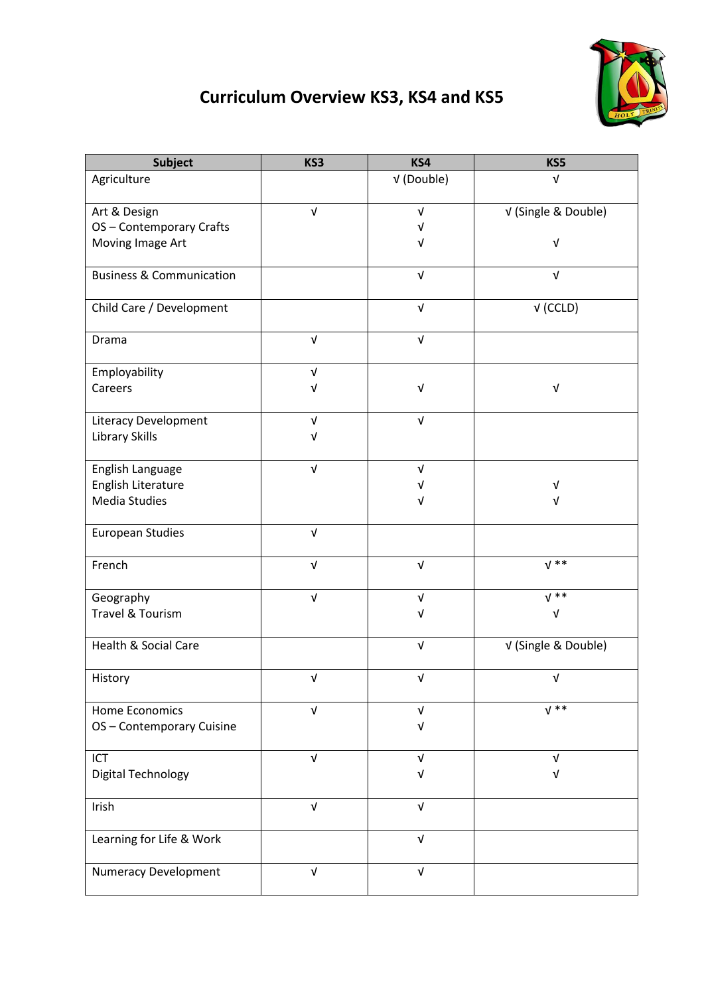## **Curriculum Overview KS3, KS4 and KS5**



| <b>Subject</b>                      | KS3                       | KS4                       | KS5                       |
|-------------------------------------|---------------------------|---------------------------|---------------------------|
| Agriculture                         |                           | V (Double)                | $\sqrt{ }$                |
| Art & Design                        | $\sqrt{ }$                | V                         | V (Single & Double)       |
| OS-Contemporary Crafts              |                           | V                         |                           |
| Moving Image Art                    |                           | V                         | $\ensuremath{\mathsf{V}}$ |
| <b>Business &amp; Communication</b> |                           | $\sqrt{ }$                | $\sqrt{ }$                |
| Child Care / Development            |                           | $\sqrt{ }$                | $V$ (CCLD)                |
| Drama                               | $\sqrt{ }$                | $\sqrt{ }$                |                           |
| Employability                       | $\sqrt{ }$                |                           |                           |
| Careers                             | V                         | $\sqrt{ }$                | $\sqrt{ }$                |
| Literacy Development                | $\sqrt{ }$                | $\ensuremath{\mathsf{V}}$ |                           |
| Library Skills                      | $\sqrt{ }$                |                           |                           |
| English Language                    | $\ensuremath{\mathsf{V}}$ | $\sqrt{ }$                |                           |
| English Literature                  |                           | V                         | $\sqrt{ }$                |
| Media Studies                       |                           | $\sqrt{ }$                | V                         |
| <b>European Studies</b>             | $\sqrt{ }$                |                           |                           |
| French                              | $\sqrt{ }$                | $\sqrt{ }$                | $V^*$                     |
| Geography                           | $\sqrt{ }$                | $\sqrt{ }$                | $\sqrt{**}$               |
| Travel & Tourism                    |                           | ν                         | $\sqrt{ }$                |
| <b>Health &amp; Social Care</b>     |                           | $\sqrt{ }$                | V (Single & Double)       |
| History                             | $\sqrt{ }$                | $\sqrt{ }$                | $\sqrt{ }$                |
| Home Economics                      | V                         | V                         | $V^*$                     |
| OS-Contemporary Cuisine             |                           | V                         |                           |
| ICT                                 | V                         | V                         | $\sqrt{ }$                |
| <b>Digital Technology</b>           |                           | V                         | V                         |
| Irish                               | $\sqrt{ }$                | $\sqrt{ }$                |                           |
| Learning for Life & Work            |                           | $\sqrt{ }$                |                           |
| <b>Numeracy Development</b>         | $\sqrt{ }$                | $\sqrt{ }$                |                           |